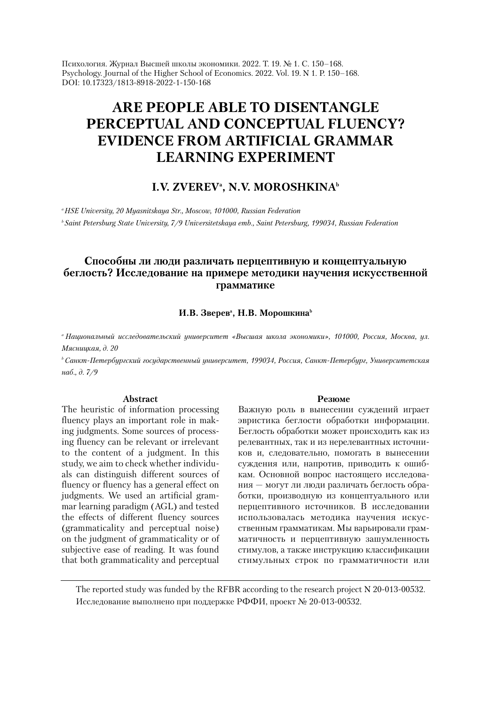Психология. Журнал Высшей школы экономики. 2022. Т. 19. № 1. С. 150–168. Psychology. Journal of the Higher School of Economics. 2022. Vol. 19. N 1. P. 150–168. DOI: 10.17323/1813-8918-2022-1-150-168

# **ARE PEOPLE ABLE TO DISENTANGLE PERCEPTUAL AND CONCEPTUAL FLUENCY? EVIDENCE FROM ARTIFICIAL GRAMMAR LEARNING EXPERIMENT**

# **I.V. ZVEREVª, N.V. MOROSHKINA**b

*a HSE University, 20 Myasnitskaya Str., Moscow, 101000, Russian Federation b Saint Petersburg State University, 7/9 Universitetskaya emb., Saint Petersburg, 199034, Russian Federation*

# **Способны ли люди различать перцептивную и концептуальную беглость? Исследование на примере методики научения искусственной грамматике**

#### И.В. Зверев<sup>а</sup>, Н.В. Морошкина<sup>ь</sup>

*<sup>a</sup> Национальный исследовательский университет «Высшая школа экономики», 101000, Россия, Москва, ул. Мясницкая, д. 20*

*bСанкт-Петербургский государственный университет, 199034, Россия, Санкт-Петербург, Университетская наб., д. 7/9*

#### **Abstract**

The heuristic of information processing fluency plays an important role in making judgments. Some sources of processing fluency can be relevant or irrelevant to the content of a judgment. In this study, we aim to check whether individuals can distinguish different sources of fluency or fluency has a general effect on judgments. We used an artificial grammar learning paradigm (AGL) and tested the effects of different fluency sources (grammaticality and perceptual noise) on the judgment of grammaticality or of subjective ease of reading. It was found that both grammaticality and perceptual

#### **Резюме**

Важную роль в вынесении суждений играет эвристика беглости обработки информации. Беглость обработки может происходить как из релевантных, так и из нерелевантных источников и, следовательно, помогать в вынесении суждения или, напротив, приводить к ошибкам. Основной вопрос настоящего исследования — могут ли люди различать беглость обработки, производную из концептуального или перцептивного источников. В исследовании использовалась методика научения искусственным грамматикам. Мы варьировали грамматичность и перцептивную зашумленность стимулов, а также инструкцию классификации стимульных строк по грамматичности или

The reported study was funded by the RFBR according to the research project N 20-013-00532. Исследование выполнено при поддержке РФФИ, проект № 20-013-00532.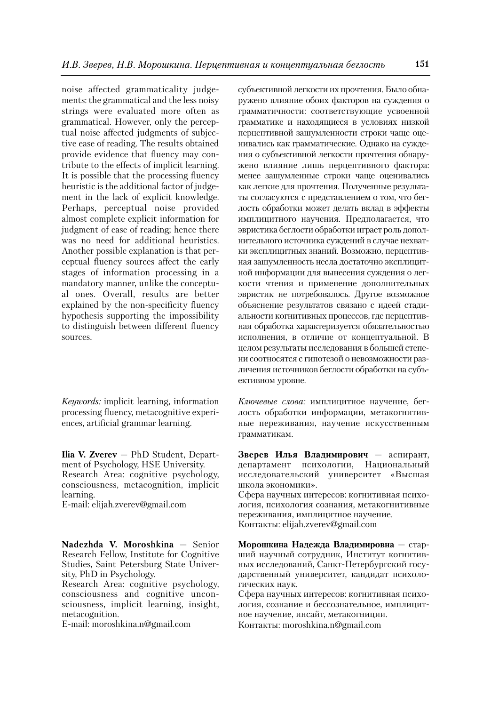noise affected grammaticality judgements: the grammatical and the less noisy strings were evaluated more often as grammatical. However, only the perceptual noise affected judgments of subjective ease of reading. The results obtained provide evidence that fluency may contribute to the effects of implicit learning. It is possible that the processing fluency heuristic is the additional factor of judgement in the lack of explicit knowledge. Perhaps, perceptual noise provided almost complete explicit information for judgment of ease of reading; hence there was no need for additional heuristics. Another possible explanation is that perceptual fluency sources affect the early stages of information processing in a mandatory manner, unlike the conceptual ones. Overall, results are better explained by the non-specificity fluency hypothesis supporting the impossibility to distinguish between different fluency sources.

*Keywords:* implicit learning, information processing fluency, metacognitive experiences, artificial grammar learning.

**Ilia V. Zverev**  $-$  PhD Student, Department of Psychology, HSE University. Research Area: cognitive psychology, consciousness, metacognition, implicit learning.

E-mail: elijah.zverev@gmail.com

**Nadezhda V. Moroshkina** — Senior Research Fellow, Institute for Cognitive Studies, Saint Petersburg State University, PhD in Psychology.

Research Area: cognitive psychology, consciousness and cognitive unconsciousness, implicit learning, insight, metacognition.

E-mail: moroshkina.n@gmail.com

субъективной легкости их прочтения. Было обнаружено влияние обоих факторов на суждения о грамматичности: соответствующие усвоенной грамматике и находящиеся в условиях низкой перцептивной зашумленности строки чаще оценивались как грамматические. Однако на суждения о субъективной легкости прочтения обнаружено влияние лишь перцептивного фактора: менее зашумленные строки чаще оценивались как легкие для прочтения. Полученные результаты согласуются с представлением о том, что беглость обработки может делать вклад в эффекты имплицитного научения. Предполагается, что эвристика беглости обработки играет роль дополнительного источника суждений в случае нехватки эксплицитных знаний. Возможно, перцептивная зашумленность несла достаточно эксплицитной информации для вынесения суждения о легкости чтения и применение дополнительных эвристик не потребовалось. Другое возможное объяснение результатов связано с идеей стадиальности когнитивных процессов, где перцептивная обработка характеризуется обязательностью исполнения, в отличие от концептуальной. В целом результаты исследования в большей степени соотносятся с гипотезой о невозможности различения источников беглости обработки на субъективном уровне.

*Ключевые слова:* имплицитное научение, беглость обработки информации, метакогнитивные переживания, научение искусственным грамматикам.

**Зверев Илья Владимирович** — аспирант, департамент психологии, Национальный исследовательский университет «Высшая школа экономики».

Сфера научных интересов: когнитивная психология, психология сознания, метакогнитивные переживания, имплицитное научение. Контакты: elijah.zverev@gmail.com

**Морошкина Надежда Владимировна** — старший научный сотрудник, Институт когнитивных исследований, Санкт-Петербургский государственный университет, кандидат психологических наук.

Сфера научных интересов: когнитивная психология, сознание и бессознательное, имплицитное научение, инсайт, метакогниции. Контакты: moroshkina.n@gmail.com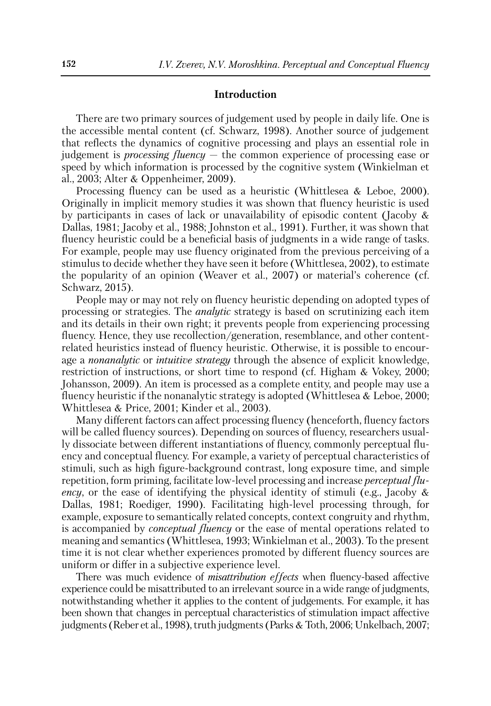### **Introduction**

There are two primary sources of judgement used by people in daily life. One is the accessible mental content (cf. Schwarz, 1998). Another source of judgement that reflects the dynamics of cognitive processing and plays an essential role in judgement is *processing fluency* — the common experience of processing ease or speed by which information is processed by the cognitive system (Winkielman et al., 2003; Alter & Oppenheimer, 2009).

Processing fluency can be used as a heuristic (Whittlesea & Leboe, 2000). Originally in implicit memory studies it was shown that fluency heuristic is used by participants in cases of lack or unavailability of episodic content (Jacoby & Dallas, 1981; Jacoby et al., 1988; Johnston et al., 1991). Further, it was shown that fluency heuristic could be a beneficial basis of judgments in a wide range of tasks. For example, people may use fluency originated from the previous perceiving of a stimulus to decide whether they have seen it before (Whittlesea, 2002), to estimate the popularity of an opinion (Weaver et al., 2007) or material's coherence (cf. Schwarz, 2015).

People may or may not rely on fluency heuristic depending on adopted types of processing or strategies. The *analytic* strategy is based on scrutinizing each item and its details in their own right; it prevents people from experiencing processing fluency. Hence, they use recollection/generation, resemblance, and other contentrelated heuristics instead of fluency heuristic. Otherwise, it is possible to encourage a *nonanalytic* or *intuitive strategy* through the absence of explicit knowledge, restriction of instructions, or short time to respond (cf. Higham & Vokey, 2000; Johansson, 2009). An item is processed as a complete entity, and people may use a fluency heuristic if the nonanalytic strategy is adopted (Whittlesea & Leboe, 2000; Whittlesea & Price, 2001; Kinder et al., 2003).

Many different factors can affect processing fluency (henceforth, fluency factors will be called fluency sources). Depending on sources of fluency, researchers usually dissociate between different instantiations of fluency, commonly perceptual fluency and conceptual fluency. For example, a variety of perceptual characteristics of stimuli, such as high figure-background contrast, long exposure time, and simple repetition, form priming, facilitate low-level processing and increase *perceptual fluency*, or the ease of identifying the physical identity of stimuli (e.g., Jacoby & Dallas, 1981; Roediger, 1990). Facilitating high-level processing through, for example, exposure to semantically related concepts, context congruity and rhythm, is accompanied by *conceptual fluency* or the ease of mental operations related to meaning and semantics (Whittlesea, 1993; Winkielman et al., 2003). To the present time it is not clear whether experiences promoted by different fluency sources are uniform or differ in a subjective experience level.

There was much evidence of *misattribution effects* when fluency-based affective experience could be misattributed to an irrelevant source in a wide range of judgments, notwithstanding whether it applies to the content of judgements. For example, it has been shown that changes in perceptual characteristics of stimulation impact affective judgments (Reber et al., 1998), truth judgments (Parks & Toth, 2006; Unkelbach, 2007;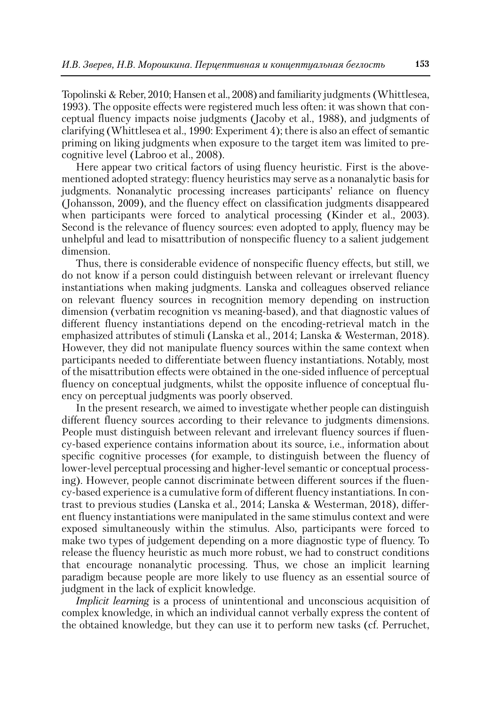Topolinski & Reber, 2010; Hansen et al., 2008) and familiarity judgments (Whittlesea, 1993). The opposite effects were registered much less often: it was shown that conceptual fluency impacts noise judgments (Jacoby et al., 1988), and judgments of clarifying (Whittlesea et al., 1990: Experiment 4); there is also an effect of semantic priming on liking judgments when exposure to the target item was limited to precognitive level (Labroo et al., 2008).

Here appear two critical factors of using fluency heuristic. First is the abovementioned adopted strategy: fluency heuristics may serve as a nonanalytic basis for judgments. Nonanalytic processing increases participants' reliance on fluency (Johansson, 2009), and the fluency effect on classification judgments disappeared when participants were forced to analytical processing (Kinder et al., 2003). Second is the relevance of fluency sources: even adopted to apply, fluency may be unhelpful and lead to misattribution of nonspecific fluency to a salient judgement dimension.

Thus, there is considerable evidence of nonspecific fluency effects, but still, we do not know if a person could distinguish between relevant or irrelevant fluency instantiations when making judgments. Lanska and colleagues observed reliance on relevant fluency sources in recognition memory depending on instruction dimension (verbatim recognition vs meaning-based), and that diagnostic values of different fluency instantiations depend on the encoding-retrieval match in the emphasized attributes of stimuli (Lanska et al., 2014; Lanska & Westerman, 2018). However, they did not manipulate fluency sources within the same context when participants needed to differentiate between fluency instantiations. Notably, most of the misattribution effects were obtained in the one-sided influence of perceptual fluency on conceptual judgments, whilst the opposite influence of conceptual fluency on perceptual judgments was poorly observed.

In the present research, we aimed to investigate whether people can distinguish different fluency sources according to their relevance to judgments dimensions. People must distinguish between relevant and irrelevant fluency sources if fluency-based experience contains information about its source, i.e., information about specific cognitive processes (for example, to distinguish between the fluency of lower-level perceptual processing and higher-level semantic or conceptual processing). However, people cannot discriminate between different sources if the fluency-based experience is a cumulative form of different fluency instantiations. In contrast to previous studies (Lanska et al., 2014; Lanska & Westerman, 2018), different fluency instantiations were manipulated in the same stimulus context and were exposed simultaneously within the stimulus. Also, participants were forced to make two types of judgement depending on a more diagnostic type of fluency. To release the fluency heuristic as much more robust, we had to construct conditions that encourage nonanalytic processing. Thus, we chose an implicit learning paradigm because people are more likely to use fluency as an essential source of judgment in the lack of explicit knowledge.

*Implicit learning* is a process of unintentional and unconscious acquisition of complex knowledge, in which an individual cannot verbally express the content of the obtained knowledge, but they can use it to perform new tasks (cf. Perruchet,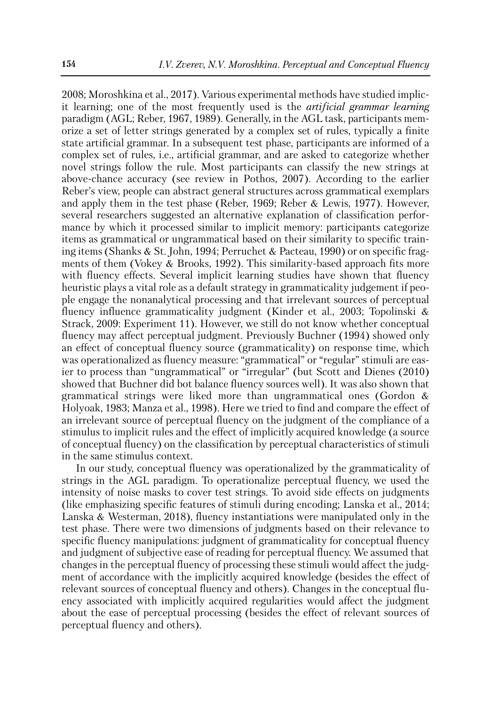2008; Moroshkina et al., 2017). Various experimental methods have studied implicit learning; one of the most frequently used is the *artificial grammar learning* paradigm (AGL; Reber, 1967, 1989). Generally, in the AGL task, participants memorize a set of letter strings generated by a complex set of rules, typically a finite state artificial grammar. In a subsequent test phase, participants are informed of a complex set of rules, i.e., artificial grammar, and are asked to categorize whether novel strings follow the rule. Most participants can classify the new strings at above-chance accuracy (see review in Pothos, 2007). According to the earlier Reber's view, people can abstract general structures across grammatical exemplars and apply them in the test phase (Reber, 1969; Reber & Lewis, 1977). However, several researchers suggested an alternative explanation of classification performance by which it processed similar to implicit memory: participants categorize items as grammatical or ungrammatical based on their similarity to specific training items (Shanks & St. John, 1994; Perruchet & Pacteau, 1990) or on specific fragments of them (Vokey & Brooks, 1992). This similarity-based approach fits more with fluency effects. Several implicit learning studies have shown that fluency heuristic plays a vital role as a default strategy in grammaticality judgement if people engage the nonanalytical processing and that irrelevant sources of perceptual fluency influence grammaticality judgment (Kinder et al., 2003; Topolinski & Strack, 2009: Experiment 11). However, we still do not know whether conceptual fluency may affect perceptual judgment. Previously Buchner (1994) showed only an effect of conceptual fluency source (grammaticality) on response time, which was operationalized as fluency measure: "grammatical" or "regular" stimuli are easier to process than "ungrammatical" or "irregular" (but Scott and Dienes (2010) showed that Buchner did bot balance fluency sources well). It was also shown that grammatical strings were liked more than ungrammatical ones (Gordon & Holyoak, 1983; Manza et al., 1998). Here we tried to find and compare the effect of an irrelevant source of perceptual fluency on the judgment of the compliance of a stimulus to implicit rules and the effect of implicitly acquired knowledge (a source of conceptual fluency) on the classification by perceptual characteristics of stimuli in the same stimulus context.

In our study, conceptual fluency was operationalized by the grammaticality of strings in the AGL paradigm. To operationalize perceptual fluency, we used the intensity of noise masks to cover test strings. To avoid side effects on judgments (like emphasizing specific features of stimuli during encoding; Lanska et al., 2014; Lanska & Westerman, 2018), fluency instantiations were manipulated only in the test phase. There were two dimensions of judgments based on their relevance to specific fluency manipulations: judgment of grammaticality for conceptual fluency and judgment of subjective ease of reading for perceptual fluency. We assumed that changes in the perceptual fluency of processing these stimuli would affect the judgment of accordance with the implicitly acquired knowledge (besides the effect of relevant sources of conceptual fluency and others). Changes in the conceptual fluency associated with implicitly acquired regularities would affect the judgment about the ease of perceptual processing (besides the effect of relevant sources of perceptual fluency and others).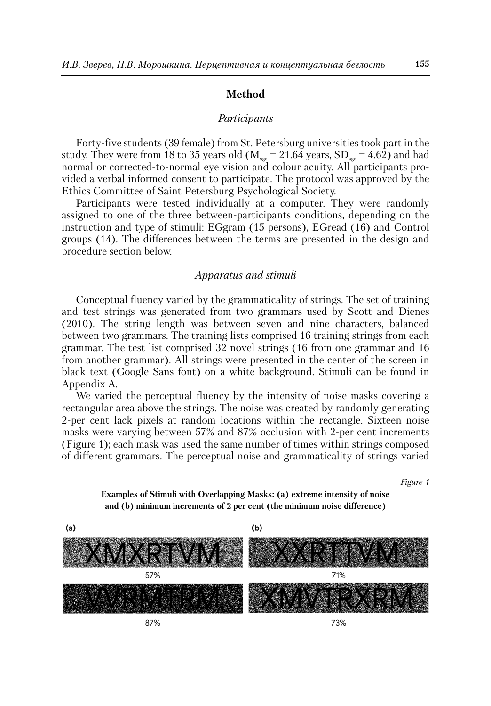### **Method**

#### *Participants*

Forty-five students (39 female) from St. Petersburg universities took part in the study. They were from 18 to 35 years old ( $M_{\text{age}} = 21.64$  years, SD<sub>age</sub> = 4.62) and had normal or corrected-to-normal eye vision and colour acuity. All participants provided a verbal informed consent to participate. The protocol was approved by the Ethics Committee of Saint Petersburg Psychological Society.

Participants were tested individually at a computer. They were randomly assigned to one of the three between-participants conditions, depending on the instruction and type of stimuli: EGgram (15 persons), EGread (16) and Control groups (14). The differences between the terms are presented in the design and procedure section below.

#### *Apparatus and stimuli*

Conceptual fluency varied by the grammaticality of strings. The set of training and test strings was generated from two grammars used by Scott and Dienes (2010). The string length was between seven and nine characters, balanced between two grammars. The training lists comprised 16 training strings from each grammar. The test list comprised 32 novel strings (16 from one grammar and 16 from another grammar). All strings were presented in the center of the screen in black text (Google Sans font) on a white background. Stimuli can be found in Appendix A.

We varied the perceptual fluency by the intensity of noise masks covering a rectangular area above the strings. The noise was created by randomly generating 2-per cent lack pixels at random locations within the rectangle. Sixteen noise masks were varying between 57% and 87% occlusion with 2-per cent increments (Figure 1); each mask was used the same number of times within strings composed of different grammars. The perceptual noise and grammaticality of strings varied

*Figure 1*





87%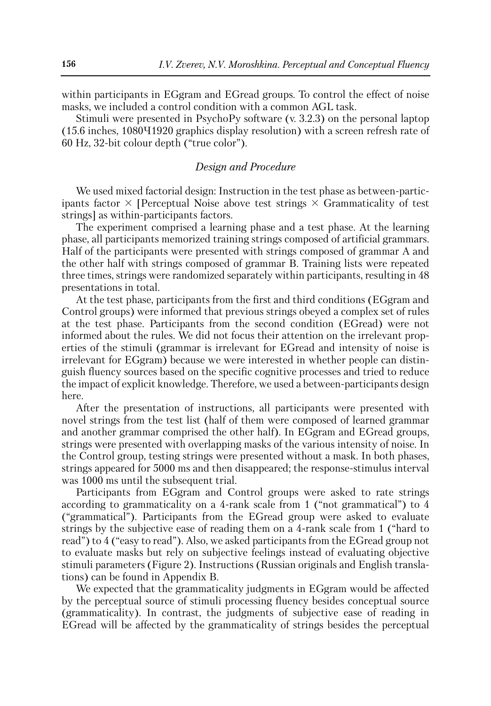within participants in EGgram and EGread groups. To control the effect of noise masks, we included a control condition with a common AGL task.

Stimuli were presented in PsychoPy software (v. 3.2.3) on the personal laptop (15.6 inches, 1080Ч1920 graphics display resolution) with a screen refresh rate of 60 Hz, 32-bit colour depth ("true color").

# *Design and Procedure*

We used mixed factorial design: Instruction in the test phase as between-participants factor  $\times$  [Perceptual Noise above test strings  $\times$  Grammaticality of test strings] as within-participants factors.

The experiment comprised a learning phase and a test phase. At the learning phase, all participants memorized training strings composed of artificial grammars. Half of the participants were presented with strings composed of grammar A and the other half with strings composed of grammar B. Training lists were repeated three times, strings were randomized separately within participants, resulting in 48 presentations in total.

At the test phase, participants from the first and third conditions (EGgram and Control groups) were informed that previous strings obeyed a complex set of rules at the test phase. Participants from the second condition (EGread) were not informed about the rules. We did not focus their attention on the irrelevant properties of the stimuli (grammar is irrelevant for EGread and intensity of noise is irrelevant for EGgram) because we were interested in whether people can distinguish fluency sources based on the specific cognitive processes and tried to reduce the impact of explicit knowledge. Therefore, we used a between-participants design here.

After the presentation of instructions, all participants were presented with novel strings from the test list (half of them were composed of learned grammar and another grammar comprised the other half). In EGgram and EGread groups, strings were presented with overlapping masks of the various intensity of noise. In the Control group, testing strings were presented without a mask. In both phases, strings appeared for 5000 ms and then disappeared; the response-stimulus interval was 1000 ms until the subsequent trial.

Participants from EGgram and Control groups were asked to rate strings according to grammaticality on a 4-rank scale from 1 ("not grammatical") to 4 ("grammatical"). Participants from the EGread group were asked to evaluate strings by the subjective ease of reading them on a 4-rank scale from 1 ("hard to read") to 4 ("easy to read"). Also, we asked participants from the EGread group not to evaluate masks but rely on subjective feelings instead of evaluating objective stimuli parameters (Figure 2). Instructions (Russian originals and English translations) can be found in Appendix B.

We expected that the grammaticality judgments in EGgram would be affected by the perceptual source of stimuli processing fluency besides conceptual source (grammaticality). In contrast, the judgments of subjective ease of reading in EGread will be affected by the grammaticality of strings besides the perceptual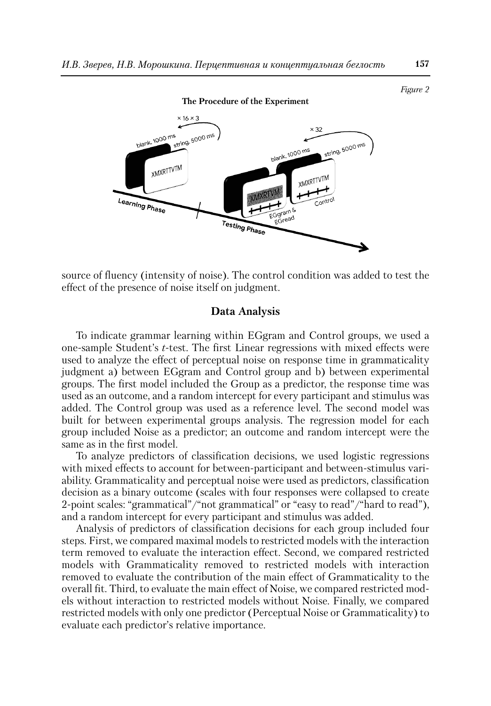

source of fluency (intensity of noise). The control condition was added to test the effect of the presence of noise itself on judgment.

# **Data Analysis**

To indicate grammar learning within EGgram and Control groups, we used a one-sample Student's *t*-test. The first Linear regressions with mixed effects were used to analyze the effect of perceptual noise on response time in grammaticality judgment a) between EGgram and Control group and b) between experimental groups. The first model included the Group as a predictor, the response time was used as an outcome, and a random intercept for every participant and stimulus was added. The Control group was used as a reference level. The second model was built for between experimental groups analysis. The regression model for each group included Noise as a predictor; an outcome and random intercept were the same as in the first model.

To analyze predictors of classification decisions, we used logistic regressions with mixed effects to account for between-participant and between-stimulus variability. Grammaticality and perceptual noise were used as predictors, classification decision as a binary outcome (scales with four responses were collapsed to create 2-point scales: "grammatical"/"not grammatical" or "easy to read"/"hard to read"), and a random intercept for every participant and stimulus was added.

Analysis of predictors of classification decisions for each group included four steps. First, we compared maximal models to restricted models with the interaction term removed to evaluate the interaction effect. Second, we compared restricted models with Grammaticality removed to restricted models with interaction removed to evaluate the contribution of the main effect of Grammaticality to the overall fit. Third, to evaluate the main effect of Noise, we compared restricted models without interaction to restricted models without Noise. Finally, we compared restricted models with only one predictor (Perceptual Noise or Grammaticality) to evaluate each predictor's relative importance.

*Figure 2*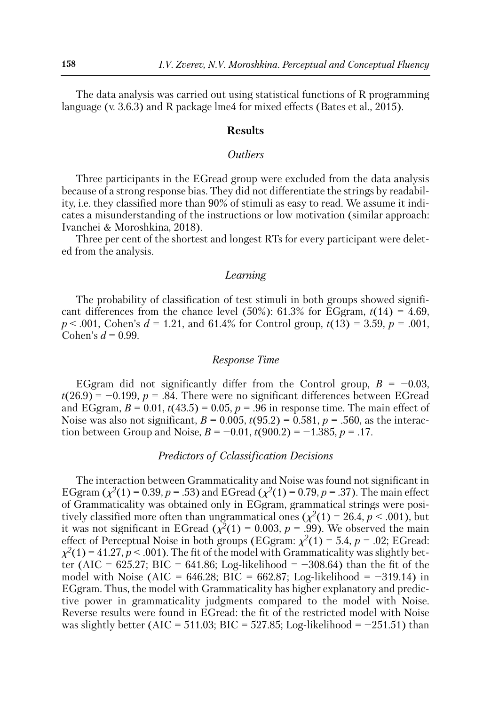The data analysis was carried out using statistical functions of R programming language (v. 3.6.3) and R package lme4 for mixed effects (Bates et al., 2015).

# **Results**

# *Outliers*

Three participants in the EGread group were excluded from the data analysis because of a strong response bias. They did not differentiate the strings by readability, i.e. they classified more than 90% of stimuli as easy to read. We assume it indicates a misunderstanding of the instructions or low motivation (similar approach: Ivanchei & Moroshkina, 2018).

Three per cent of the shortest and longest RTs for every participant were deleted from the analysis.

### *Learning*

The probability of classification of test stimuli in both groups showed significant differences from the chance level (50%):  $61.3\%$  for EGgram,  $t(14) = 4.69$ , *p* < .001, Cohen's *d* = 1.21, and 61.4% for Control group, *t*(13) = 3.59, *p* = .001, Cohen's  $d = 0.99$ .

### *Response Time*

EGgram did not significantly differ from the Control group,  $B = -0.03$ ,  $t(26.9) = -0.199$ ,  $p = .84$ . There were no significant differences between EGread and EGgram,  $B = 0.01$ ,  $t(43.5) = 0.05$ ,  $p = .96$  in response time. The main effect of Noise was also not significant,  $B = 0.005$ ,  $t(95.2) = 0.581$ ,  $p = .560$ , as the interaction between Group and Noise,  $B = -0.01$ ,  $t(900.2) = -1.385$ ,  $p = 0.17$ .

# *Predictors of Cclassification Decisions*

The interaction between Grammaticality and Noise was found not significant in EGgram ( $\chi^2(1) = 0.39$ ,  $p = .53$ ) and EGread ( $\chi^2(1) = 0.79$ ,  $p = .37$ ). The main effect of Grammaticality was obtained only in EGgram, grammatical strings were positively classified more often than ungrammatical ones ( $\chi^2(1) = 26.4$ ,  $p < .001$ ), but it was not significant in EGread ( $\chi^2(1) = 0.003$ ,  $p = .99$ ). We observed the main effect of Perceptual Noise in both groups (EGgram:  $\chi^2(1) = 5.4$ ,  $p = .02$ ; EGread:  $\chi^2(1) = 41.27, p < .001$ . The fit of the model with Grammaticality was slightly better (AIC = 625.27; BIC = 641.86; Log-likelihood =  $-308.64$ ) than the fit of the model with Noise (AIC =  $646.28$ ; BIC =  $662.87$ ; Log-likelihood =  $-319.14$ ) in EGgram. Thus, the model with Grammaticality has higher explanatory and predictive power in grammaticality judgments compared to the model with Noise. Reverse results were found in EGread: the fit of the restricted model with Noise was slightly better (AIC = 511.03; BIC = 527.85; Log-likelihood =  $-251.51$ ) than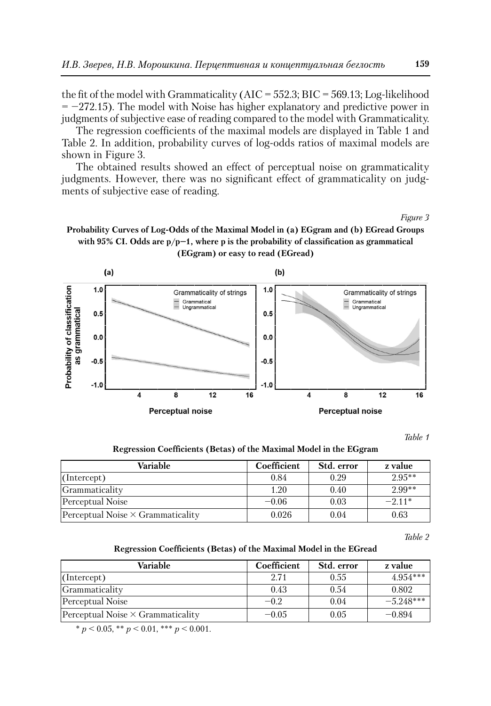the fit of the model with Grammaticality (AIC = 552.3; BIC = 569.13; Log-likelihood  $= -272.15$ ). The model with Noise has higher explanatory and predictive power in judgments of subjective ease of reading compared to the model with Grammaticality.

The regression coefficients of the maximal models are displayed in Table 1 and Table 2. In addition, probability curves of log-odds ratios of maximal models are shown in Figure 3.

The obtained results showed an effect of perceptual noise on grammaticality judgments. However, there was no significant effect of grammaticality on judgments of subjective ease of reading.

*Figure 3*





*Table 1*

|  |  | Regression Coefficients (Betas) of the Maximal Model in the EGgram |
|--|--|--------------------------------------------------------------------|
|--|--|--------------------------------------------------------------------|

| Variable                                 | Coefficient | Std. error | z value  |
|------------------------------------------|-------------|------------|----------|
| (Intercept)                              | 0.84        | 0.29       | $2.95**$ |
| Grammaticality                           | 1.20        | 0.40       | $2.99**$ |
| Perceptual Noise                         | $-0.06$     | 0.03       | $-2.11*$ |
| Perceptual Noise $\times$ Grammaticality | 0.026       | 0.04       | 0.63     |

*Table 2*

#### **Regression Coefficients (Betas) of the Maximal Model in the EGread**

| Variable                                 | Coefficient | Std. error | z value     |
|------------------------------------------|-------------|------------|-------------|
| (Intercept)                              | 2.71        | 0.55       | $4.954***$  |
| Grammaticality                           | 0.43        | 0.54       | 0.802       |
| Perceptual Noise                         | $-0.2$      | 0.04       | $-5.248***$ |
| Perceptual Noise $\times$ Grammaticality | $-0.05$     | 0.05       | $-0.894$    |

 $* p < 0.05, ** p < 0.01, ** p < 0.001.$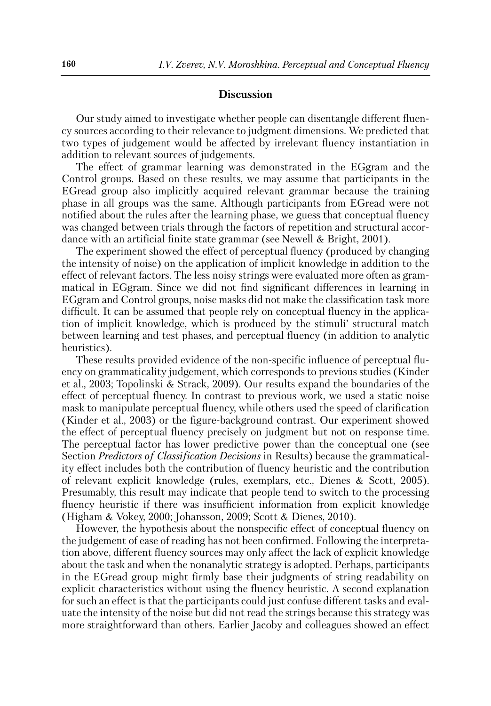### **Discussion**

Our study aimed to investigate whether people can disentangle different fluency sources according to their relevance to judgment dimensions. We predicted that two types of judgement would be affected by irrelevant fluency instantiation in addition to relevant sources of judgements.

The effect of grammar learning was demonstrated in the EGgram and the Control groups. Based on these results, we may assume that participants in the EGread group also implicitly acquired relevant grammar because the training phase in all groups was the same. Although participants from EGread were not notified about the rules after the learning phase, we guess that conceptual fluency was changed between trials through the factors of repetition and structural accordance with an artificial finite state grammar (see Newell & Bright, 2001).

The experiment showed the effect of perceptual fluency (produced by changing the intensity of noise) on the application of implicit knowledge in addition to the effect of relevant factors. The less noisy strings were evaluated more often as grammatical in EGgram. Since we did not find significant differences in learning in EGgram and Control groups, noise masks did not make the classification task more difficult. It can be assumed that people rely on conceptual fluency in the application of implicit knowledge, which is produced by the stimuli' structural match between learning and test phases, and perceptual fluency (in addition to analytic heuristics).

These results provided evidence of the non-specific influence of perceptual fluency on grammaticality judgement, which corresponds to previous studies (Kinder et al., 2003; Topolinski & Strack, 2009). Our results expand the boundaries of the effect of perceptual fluency. In contrast to previous work, we used a static noise mask to manipulate perceptual fluency, while others used the speed of clarification (Kinder et al., 2003) or the figure-background contrast. Our experiment showed the effect of perceptual fluency precisely on judgment but not on response time. The perceptual factor has lower predictive power than the conceptual one (see Section *Predictors of Classification Decisions* in Results) because the grammaticality effect includes both the contribution of fluency heuristic and the contribution of relevant explicit knowledge (rules, exemplars, etc., Dienes & Scott, 2005). Presumably, this result may indicate that people tend to switch to the processing fluency heuristic if there was insufficient information from explicit knowledge (Higham & Vokey, 2000; Johansson, 2009; Scott & Dienes, 2010).

However, the hypothesis about the nonspecific effect of conceptual fluency on the judgement of ease of reading has not been confirmed. Following the interpretation above, different fluency sources may only affect the lack of explicit knowledge about the task and when the nonanalytic strategy is adopted. Perhaps, participants in the EGread group might firmly base their judgments of string readability on explicit characteristics without using the fluency heuristic. A second explanation for such an effect is that the participants could just confuse different tasks and evaluate the intensity of the noise but did not read the strings because this strategy was more straightforward than others. Earlier Jacoby and colleagues showed an effect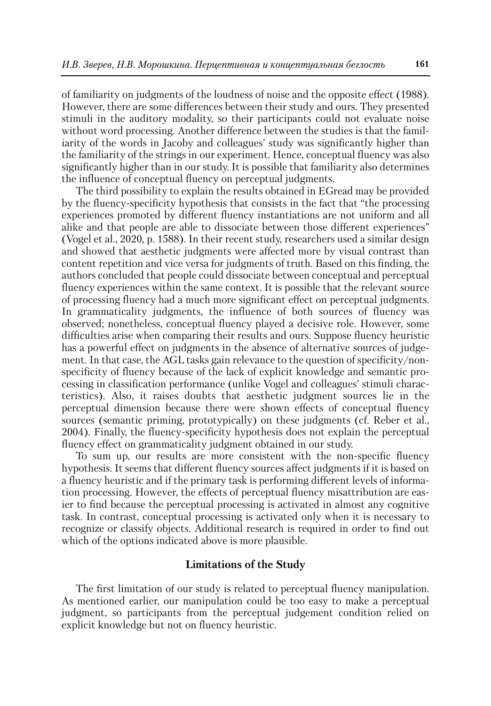of familiarity on judgments of the loudness of noise and the opposite effect (1988). However, there are some differences between their study and ours. They presented stimuli in the auditory modality, so their participants could not evaluate noise without word processing. Another difference between the studies is that the familiarity of the words in Jacoby and colleagues' study was significantly higher than the familiarity of the strings in our experiment. Hence, conceptual fluency was also significantly higher than in our study. It is possible that familiarity also determines the influence of conceptual fluency on perceptual judgments.

The third possibility to explain the results obtained in EGread may be provided by the fluency-specificity hypothesis that consists in the fact that "the processing experiences promoted by different fluency instantiations are not uniform and all alike and that people are able to dissociate between those different experiences" (Vogel et al., 2020, p. 1588). In their recent study, researchers used a similar design and showed that aesthetic judgments were affected more by visual contrast than content repetition and vice versa for judgments of truth. Based on this finding, the authors concluded that people could dissociate between conceptual and perceptual fluency experiences within the same context. It is possible that the relevant source of processing fluency had a much more significant effect on perceptual judgments. In grammaticality judgments, the influence of both sources of fluency was observed; nonetheless, conceptual fluency played a decisive role. However, some difficulties arise when comparing their results and ours. Suppose fluency heuristic has a powerful effect on judgments in the absence of alternative sources of judgement. In that case, the AGL tasks gain relevance to the question of specificity/nonspecificity of fluency because of the lack of explicit knowledge and semantic processing in classification performance (unlike Vogel and colleagues' stimuli characteristics). Also, it raises doubts that aesthetic judgment sources lie in the perceptual dimension because there were shown effects of conceptual fluency sources (semantic priming, prototypically) on these judgments (cf. Reber et al., 2004). Finally, the fluency-specificity hypothesis does not explain the perceptual fluency effect on grammaticality judgment obtained in our study.

To sum up, our results are more consistent with the non-specific fluency hypothesis. It seems that different fluency sources affect judgments if it is based on a fluency heuristic and if the primary task is performing different levels of information processing. However, the effects of perceptual fluency misattribution are easier to find because the perceptual processing is activated in almost any cognitive task. In contrast, conceptual processing is activated only when it is necessary to recognize or classify objects. Additional research is required in order to find out which of the options indicated above is more plausible.

# **Limitations of the Study**

The first limitation of our study is related to perceptual fluency manipulation. As mentioned earlier, our manipulation could be too easy to make a perceptual judgment, so participants from the perceptual judgement condition relied on explicit knowledge but not on fluency heuristic.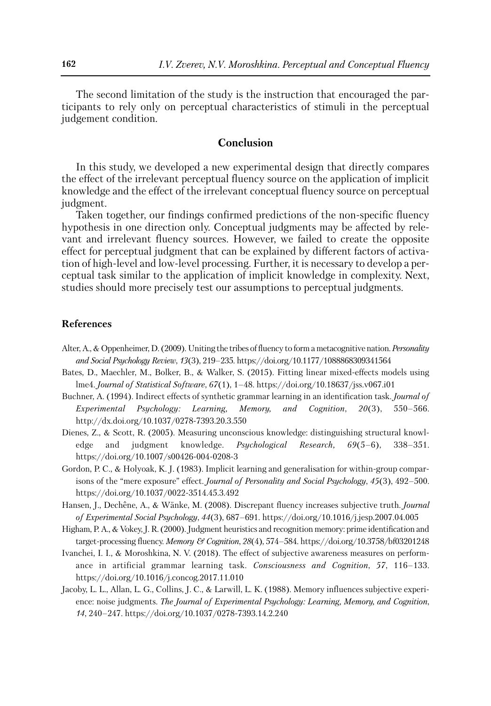The second limitation of the study is the instruction that encouraged the participants to rely only on perceptual characteristics of stimuli in the perceptual judgement condition.

### **Conclusion**

In this study, we developed a new experimental design that directly compares the effect of the irrelevant perceptual fluency source on the application of implicit knowledge and the effect of the irrelevant conceptual fluency source on perceptual judgment.

Taken together, our findings confirmed predictions of the non-specific fluency hypothesis in one direction only. Conceptual judgments may be affected by relevant and irrelevant fluency sources. However, we failed to create the opposite effect for perceptual judgment that can be explained by different factors of activation of high-level and low-level processing. Further, it is necessary to develop a perceptual task similar to the application of implicit knowledge in complexity. Next, studies should more precisely test our assumptions to perceptual judgments.

### **References**

- Alter, A., & Oppenheimer, D. (2009). Uniting the tribes of fluency to form a metacognitive nation. *Personality and Social Psychology Review*, *13*(3), 219–235. https://doi.org/10.1177/1088868309341564
- Bates, D., Maechler, M., Bolker, B., & Walker, S. (2015). Fitting linear mixed-effects models using lme4. *Journal of Statistical Software*, *67*(1), 1–48. https://doi.org/10.18637/jss.v067.i01
- Buchner, A. (1994). Indirect effects of synthetic grammar learning in an identification task. *Journal of Experimental Psychology: Learning, Memory, and Cognition*, *20*(3), 550–566. http://dx.doi.org/10.1037/0278-7393.20.3.550
- Dienes, Z., & Scott, R. (2005). Measuring unconscious knowledge: distinguishing structural knowledge and judgment knowledge. *Psychological Research, 69*(5–6), 338–351. https://doi.org/10.1007/s00426-004-0208-3
- Gordon, P. C., & Holyoak, K. J. (1983). Implicit learning and generalisation for within-group comparisons of the "mere exposure" effect. *Journal of Personality and Social Psychology*, *45*(3), 492–500. https://doi.org/10.1037/0022-3514.45.3.492
- Hansen, J., Dechêne, A., & Wänke, M. (2008). Discrepant fluency increases subjective truth. *Journal of Experimental Social Psychology*, *44*(3), 687–691. https://doi.org/10.1016/j.jesp.2007.04.005
- Higham, P. A., & Vokey, J. R. (2000). Judgment heuristics and recognition memory: prime identification and target-processing fluency. *Memory & Cognition*, *28*(4), 574–584. https://doi.org/10.3758/bf03201248
- Ivanchei, I. I., & Moroshkina, N. V. (2018). The effect of subjective awareness measures on performance in artificial grammar learning task. *Consciousness and Cognition*, *57*, 116–133. https://doi.org/10.1016/j.concog.2017.11.010
- Jacoby, L. L., Allan, L. G., Collins, J. C., & Larwill, L. K. (1988). Memory influences subjective experience: noise judgments. *The Journal of Experimental Psychology: Learning, Memory, and Cognition*, *14*, 240–247. https://doi.org/10.1037/0278-7393.14.2.240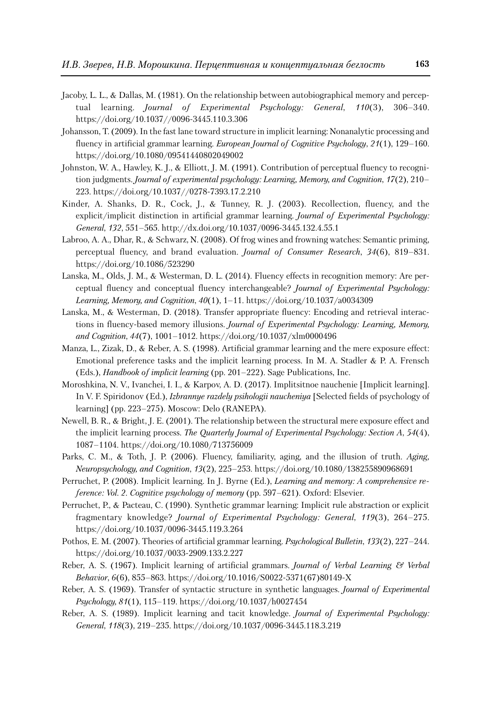- Jacoby, L. L., & Dallas, M. (1981). On the relationship between autobiographical memory and perceptual learning. *Journal of Experimental Psychology: General*, *110*(3), 306–340. https://doi.org/10.1037//0096-3445.110.3.306
- Johansson, T. (2009). In the fast lane toward structure in implicit learning: Nonanalytic processing and fluency in artificial grammar learning. *European Journal of Cognitive Psychology*, *21*(1), 129–160. https://doi.org/10.1080/09541440802049002
- Johnston, W. A., Hawley, K. J., & Elliott, J. M. (1991). Contribution of perceptual fluency to recognition judgments. *Journal of experimental psychology: Learning, Memory, and Cognition*, *17*(2), 210– 223. https://doi.org/10.1037//0278-7393.17.2.210
- Kinder, A. Shanks, D. R., Cock, J., & Tunney, R. J. (2003). Recollection, fluency, and the explicit/implicit distinction in artificial grammar learning. *Journal of Experimental Psychology: General*, *132*, 551–565. http://dx.doi.org/10.1037/0096-3445.132.4.55.1
- Labroo, A. A., Dhar, R., & Schwarz, N. (2008). Of frog wines and frowning watches: Semantic priming, perceptual fluency, and brand evaluation. *Journal of Consumer Research*, *34*(6), 819–831. https://doi.org/10.1086/523290
- Lanska, M., Olds, J. M., & Westerman, D. L. (2014). Fluency effects in recognition memory: Are perceptual fluency and conceptual fluency interchangeable? *Journal of Experimental Psychology: Learning, Memory, and Cognition*, *40*(1), 1–11. https://doi.org/10.1037/a0034309
- Lanska, M., & Westerman, D. (2018). Transfer appropriate fluency: Encoding and retrieval interactions in fluency-based memory illusions. *Journal of Experimental Psychology: Learning, Memory, and Cognition*, *44*(7), 1001–1012. https://doi.org/10.1037/xlm0000496
- Manza, L., Zizak, D., & Reber, A. S. (1998). Artificial grammar learning and the mere exposure effect: Emotional preference tasks and the implicit learning process. In M. A. Stadler & P. A. Frensch (Eds.), *Handbook of implicit learning* (pp. 201–222). Sage Publications, Inc.
- Moroshkina, N. V., Ivanchei, I. I., & Karpov, A. D. (2017). Implitsitnoe nauchenie [Implicit learning]. In V. F. Spiridonov (Ed.), *Izbrannye razdely psihologii naucheniya* [Selected fields of psychology of learning] (pp. 223–275). Moscow: Delo (RANEPA).
- Newell, B. R., & Bright, J. E. (2001). The relationship between the structural mere exposure effect and the implicit learning process. *The Quarterly Journal of Experimental Psychology: Section A*, *54*(4), 1087–1104. https://doi.org/10.1080/713756009
- Parks, C. M., & Toth, J. P. (2006). Fluency, familiarity, aging, and the illusion of truth. *Aging, Neuropsychology, and Cognition*, *13*(2), 225–253. https://doi.org/10.1080/138255890968691
- Perruchet, P. (2008). Implicit learning. In J. Byrne (Ed.), *Learning and memory: A comprehensive re ference: Vol. 2. Cognitive psychology of memory* (pp. 597–621). Oxford: Elsevier.
- Perruchet, P., & Pacteau, C. (1990). Synthetic grammar learning: Implicit rule abstraction or explicit fragmentary knowledge? *Journal of Experimental Psychology: General*, *119*(3), 264–275. https://doi.org/10.1037/0096-3445.119.3.264
- Pothos, E. M. (2007). Theories of artificial grammar learning. *Psychological Bulletin*, *133*(2), 227–244. https://doi.org/10.1037/0033-2909.133.2.227
- Reber, A. S. (1967). Implicit learning of artificial grammars. *Journal of Verbal Learning & Verbal Behavior*, *6*(6), 855–863. https://doi.org/10.1016/S0022-5371(67)80149-X
- Reber, A. S. (1969). Transfer of syntactic structure in synthetic languages. *Journal of Experimental Psychology, 81*(1), 115–119. https://doi.org/10.1037/h0027454
- Reber, A. S. (1989). Implicit learning and tacit knowledge. *Journal of Experimental Psychology: General*, *118*(3), 219–235. https://doi.org/10.1037/0096-3445.118.3.219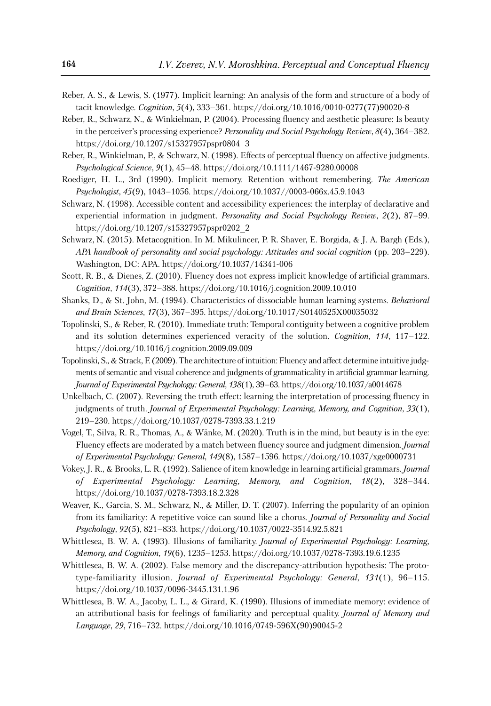- Reber, A. S., & Lewis, S. (1977). Implicit learning: An analysis of the form and structure of a body of tacit knowledge. *Cognition*, *5*(4), 333–361. https://doi.org/10.1016/0010-0277(77)90020-8
- Reber, R., Schwarz, N., & Winkielman, P. (2004). Processing fluency and aesthetic pleasure: Is beauty in the perceiver's processing experience? *Personality and Social Psychology Review*, *8*(4), 364–382. https://doi.org/10.1207/s15327957pspr0804\_3
- Reber, R., Winkielman, P., & Schwarz, N. (1998). Effects of perceptual fluency on affective judgments. *Psychological Science*, *9*(1), 45–48. https://doi.org/10.1111/1467-9280.00008
- Roediger, H. L., 3rd (1990). Implicit memory. Retention without remembering. *The American Psychologist, 45*(9), 1043–1056. https://doi.org/10.1037//0003-066x.45.9.1043
- Schwarz, N. (1998). Accessible content and accessibility experiences: the interplay of declarative and experiential information in judgment. *Personality and Social Psychology Review*, *2*(2), 87–99. https://doi.org/10.1207/s15327957pspr0202\_2
- Schwarz, N. (2015). Metacognition. In M. Mikulincer, P. R. Shaver, E. Borgida, & J. A. Bargh (Eds.), *APA handbook of personality and social psychology: Attitudes and social cognition* (pp. 203–229). Washington, DC: APA. https://doi.org/10.1037/14341-006
- Scott, R. B., & Dienes, Z. (2010). Fluency does not express implicit knowledge of artificial grammars. *Cognition*, *114*(3), 372–388. https://doi.org/10.1016/j.cognition.2009.10.010
- Shanks, D., & St. John, M. (1994). Characteristics of dissociable human learning systems. *Behavioral and Brain Sciences*, *17*(3), 367–395. https://doi.org/10.1017/S0140525X00035032
- Topolinski, S., & Reber, R. (2010). Immediate truth: Temporal contiguity between a cognitive problem and its solution determines experienced veracity of the solution. *Cognition*, *114*, 117–122. https://doi.org/10.1016/j.cognition.2009.09.009
- Topolinski, S., & Strack, F. (2009). The architecture of intuition: Fluency and affect determine intuitive judgments of semantic and visual coherence and judgments of grammaticality in artificial grammar learning. *Journal of Experimental Psychology: General*, *138*(1), 39–63. https://doi.org/10.1037/a0014678
- Unkelbach, C. (2007). Reversing the truth effect: learning the interpretation of processing fluency in judgments of truth. *Journal of Experimental Psychology: Learning, Memory, and Cognition*, *33*(1), 219–230. https://doi.org/10.1037/0278-7393.33.1.219
- Vogel, T., Silva, R. R., Thomas, A., & Wänke, M. (2020). Truth is in the mind, but beauty is in the eye: Fluency effects are moderated by a match between fluency source and judgment dimension. *Journal of Experimental Psychology: General*, *149*(8), 1587–1596. https://doi.org/10.1037/xge0000731
- Vokey, J. R., & Brooks, L. R. (1992). Salience of item knowledge in learning artificial grammars. *Journal of Experimental Psychology: Learning, Memory, and Cognition*, *18*(2), 328–344. https://doi.org/10.1037/0278-7393.18.2.328
- Weaver, K., Garcia, S. M., Schwarz, N., & Miller, D. T. (2007). Inferring the popularity of an opinion from its familiarity: A repetitive voice can sound like a chorus. *Journal of Personality and Social Psychology*, *92*(5), 821–833. https://doi.org/10.1037/0022-3514.92.5.821
- Whittlesea, B. W. A. (1993). Illusions of familiarity. *Journal of Experimental Psychology: Learning, Memory, and Cognition*, *19*(6), 1235–1253. https://doi.org/10.1037/0278-7393.19.6.1235
- Whittlesea, B. W. A. (2002). False memory and the discrepancy-attribution hypothesis: The prototype-familiarity illusion. *Journal of Experimental Psychology: General*, *131*(1), 96–115. https://doi.org/10.1037/0096-3445.131.1.96
- Whittlesea, B. W. A., Jacoby, L. L., & Girard, K. (1990). Illusions of immediate memory: evidence of an attributional basis for feelings of familiarity and perceptual quality. *Journal of Memory and Language*, *29*, 716–732. https://doi.org/10.1016/0749-596X(90)90045-2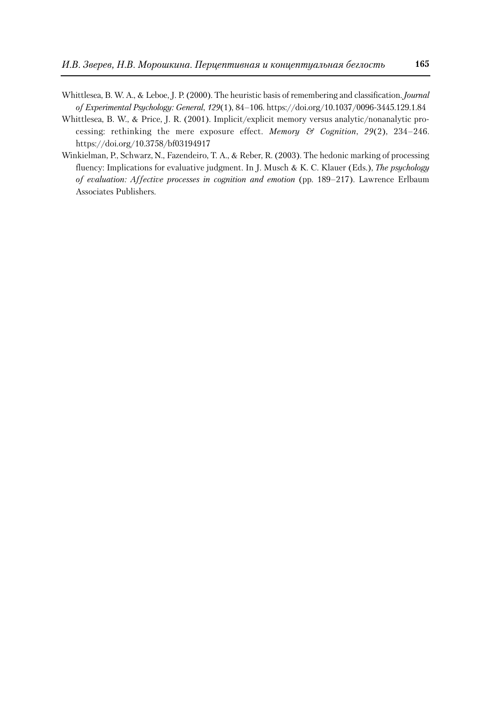- Whittlesea, B. W. A., & Leboe, J. P. (2000). The heuristic basis of remembering and classification. *Journal of Experimental Psychology: General*, *129*(1), 84–106. https://doi.org/10.1037/0096-3445.129.1.84
- Whittlesea, B. W., & Price, J. R. (2001). Implicit/explicit memory versus analytic/nonanalytic processing: rethinking the mere exposure effect. *Memory & Cognition*, *29*(2), 234–246. https://doi.org/10.3758/bf03194917
- Winkielman, P., Schwarz, N., Fazendeiro, T. A., & Reber, R. (2003). The hedonic marking of processing fluency: Implications for evaluative judgment. In J. Musch & K. C. Klauer (Eds.), *The psychology of evaluation: Affective processes in cognition and emotion* (pp. 189–217). Lawrence Erlbaum Associates Publishers.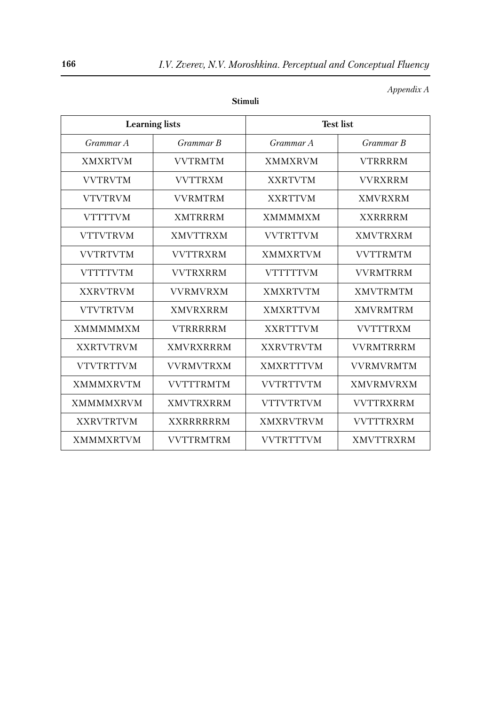| <b>Learning</b> lists |                  | <b>Test list</b> |                  |  |
|-----------------------|------------------|------------------|------------------|--|
| Grammar A             | Grammar B        | Grammar A        | Grammar B        |  |
| <b>XMXRTVM</b>        | <b>VVTRMTM</b>   | <b>XMMXRVM</b>   | <b>VTRRRRM</b>   |  |
| <b>VVTRVTM</b>        | <b>VVTTRXM</b>   | <b>XXRTVTM</b>   | <b>VVRXRRM</b>   |  |
| <b>VTVTRVM</b>        | <b>VVRMTRM</b>   | <b>XXRTTVM</b>   | <b>XMVRXRM</b>   |  |
| <b>VTTTTVM</b>        | <b>XMTRRRM</b>   | <b>XMMMMXM</b>   | <b>XXRRRRM</b>   |  |
| <b>VTTVTRVM</b>       | <b>XMVTTRXM</b>  | <b>VVTRTTVM</b>  | <b>XMVTRXRM</b>  |  |
| <b>VVTRTVTM</b>       | <b>VVTTRXRM</b>  | <b>XMMXRTVM</b>  | <b>VVTTRMTM</b>  |  |
| <b>VTTTTVTM</b>       | <b>VVTRXRRM</b>  | <b>VTTTTTVM</b>  | <b>VVRMTRRM</b>  |  |
| <b>XXRVTRVM</b>       | <b>VVRMVRXM</b>  | <b>XMXRTVTM</b>  | <b>XMVTRMTM</b>  |  |
| <b>VTVTRTVM</b>       | <b>XMVRXRRM</b>  | <b>XMXRTTVM</b>  | <b>XMVRMTRM</b>  |  |
| <b>XMMMMMXM</b>       | <b>VTRRRRRM</b>  | <b>XXRTTTVM</b>  | <b>VVTTTRXM</b>  |  |
| <b>XXRTVTRVM</b>      | <b>XMVRXRRRM</b> | <b>XXRVTRVTM</b> | <b>VVRMTRRRM</b> |  |
| <b>VTVTRTTVM</b>      | <b>VVRMVTRXM</b> | <b>XMXRTTTVM</b> | <b>VVRMVRMTM</b> |  |
| <b>XMMMXRVTM</b>      | <b>VVTTTRMTM</b> | <b>VVTRTTVTM</b> | <b>XMVRMVRXM</b> |  |
| <b>XMMMMXRVM</b>      | <b>XMVTRXRRM</b> | <b>VTTVTRTVM</b> | <b>VVTTRXRRM</b> |  |
| <b>XXRVTRTVM</b>      | <b>XXRRRRRRM</b> | <b>XMXRVTRVM</b> | <b>VVTTTRXRM</b> |  |
| <b>XMMMXRTVM</b>      | <b>VVTTRMTRM</b> | <b>VVTRTTTVM</b> | <b>XMVTTRXRM</b> |  |

**Stimuli**

*Appendix A*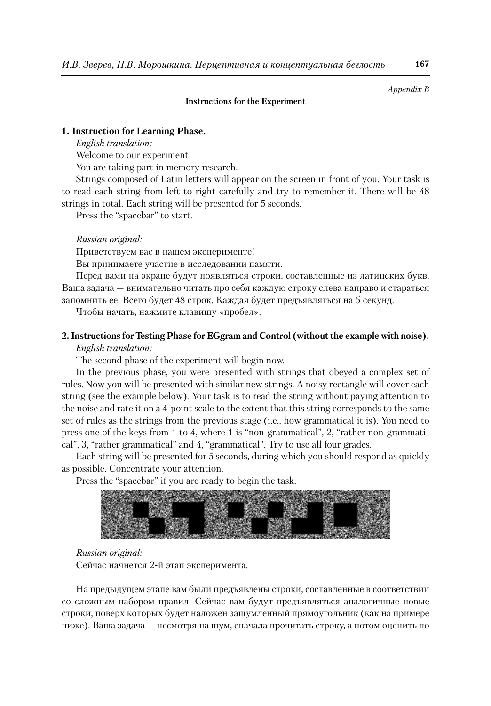*Appendix B*

### **Instructions for the Experiment**

#### **1. Instruction for Learning Phase.**

*English translation:*

Welcome to our experiment!

You are taking part in memory research.

Strings composed of Latin letters will appear on the screen in front of you. Your task is to read each string from left to right carefully and try to remember it. There will be 48 strings in total. Each string will be presented for 5 seconds.

Press the "spacebar" to start.

#### *Russian original:*

Приветствуем вас в нашем эксперименте!

Вы принимаете участие в исследовании памяти.

Перед вами на экране будут появляться строки, составленные из латинских букв. Ваша задача — внимательно читать про себя каждую строку слева направо и стараться запомнить ее. Всего будет 48 строк. Каждая будет предъявляться на 5 секунд.

Чтобы начать, нажмите клавишу «пробел».

### **2. Instructions for Testing Phase for EGgram and Control (withoutthe example with noise).**

#### *English translation:*

The second phase of the experiment will begin now.

In the previous phase, you were presented with strings that obeyed a complex set of rules. Now you will be presented with similar new strings. A noisy rectangle will cover each string (see the example below). Your task is to read the string without paying attention to the noise and rate it on a 4-point scale to the extent that this string corresponds to the same set of rules as the strings from the previous stage (i.e., how grammatical it is). You need to press one of the keys from 1 to 4, where 1 is "non-grammatical", 2, "rather non-grammatical", 3, "rather grammatical" and 4, "grammatical". Try to use all four grades.

Each string will be presented for 5 seconds, during which you should respond as quickly as possible. Concentrate your attention.

Press the "spacebar" if you are ready to begin the task.

#### *Russian original:*

Сейчас начнется 2-й этап эксперимента.

На предыдущем этапе вам были предъявлены строки, составленные в соответствии со сложным набором правил. Сейчас вам будут предъявляться аналогичные новые строки, поверх которых будет наложен зашумленный прямоугольник (как на примере ниже). Ваша задача — несмотря на шум, сначала прочитать строку, а потом оценить по